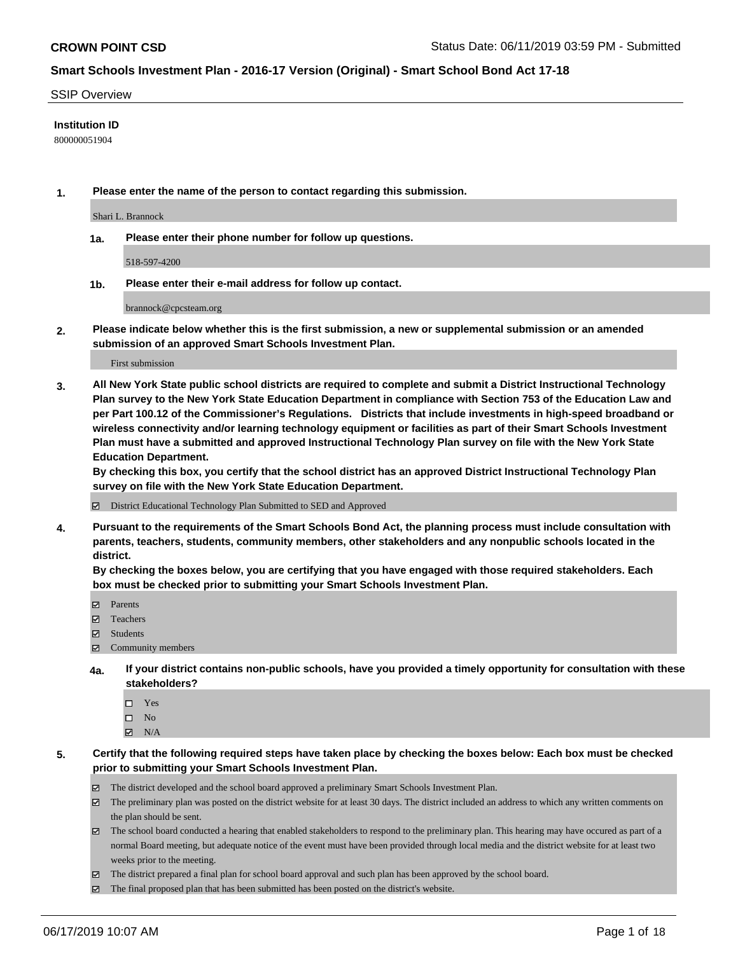#### SSIP Overview

#### **Institution ID**

800000051904

**1. Please enter the name of the person to contact regarding this submission.**

Shari L. Brannock

**1a. Please enter their phone number for follow up questions.**

518-597-4200

**1b. Please enter their e-mail address for follow up contact.**

brannock@cpcsteam.org

**2. Please indicate below whether this is the first submission, a new or supplemental submission or an amended submission of an approved Smart Schools Investment Plan.**

First submission

**3. All New York State public school districts are required to complete and submit a District Instructional Technology Plan survey to the New York State Education Department in compliance with Section 753 of the Education Law and per Part 100.12 of the Commissioner's Regulations. Districts that include investments in high-speed broadband or wireless connectivity and/or learning technology equipment or facilities as part of their Smart Schools Investment Plan must have a submitted and approved Instructional Technology Plan survey on file with the New York State Education Department.** 

**By checking this box, you certify that the school district has an approved District Instructional Technology Plan survey on file with the New York State Education Department.**

District Educational Technology Plan Submitted to SED and Approved

**4. Pursuant to the requirements of the Smart Schools Bond Act, the planning process must include consultation with parents, teachers, students, community members, other stakeholders and any nonpublic schools located in the district.** 

**By checking the boxes below, you are certifying that you have engaged with those required stakeholders. Each box must be checked prior to submitting your Smart Schools Investment Plan.**

- Parents
- Teachers
- Students
- Community members
- **4a. If your district contains non-public schools, have you provided a timely opportunity for consultation with these stakeholders?**
	- □ Yes
	- $\square$  No
	- $N/A$
- **5. Certify that the following required steps have taken place by checking the boxes below: Each box must be checked prior to submitting your Smart Schools Investment Plan.**
	- The district developed and the school board approved a preliminary Smart Schools Investment Plan.
	- $\boxtimes$  The preliminary plan was posted on the district website for at least 30 days. The district included an address to which any written comments on the plan should be sent.
	- $\boxtimes$  The school board conducted a hearing that enabled stakeholders to respond to the preliminary plan. This hearing may have occured as part of a normal Board meeting, but adequate notice of the event must have been provided through local media and the district website for at least two weeks prior to the meeting.
	- The district prepared a final plan for school board approval and such plan has been approved by the school board.
	- $\boxtimes$  The final proposed plan that has been submitted has been posted on the district's website.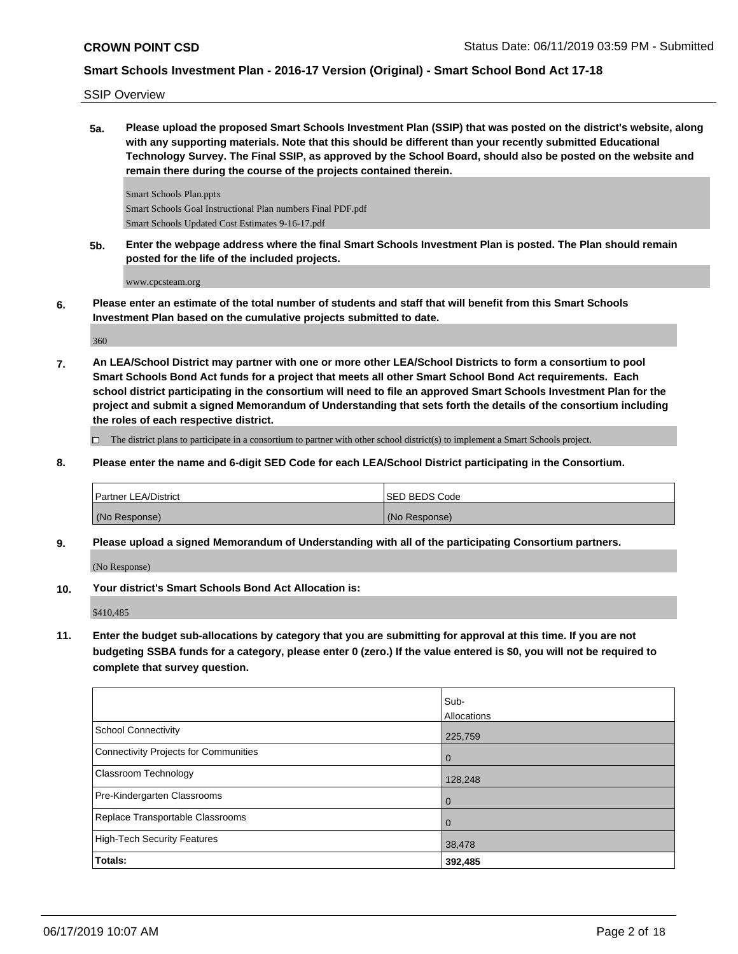SSIP Overview

**5a. Please upload the proposed Smart Schools Investment Plan (SSIP) that was posted on the district's website, along with any supporting materials. Note that this should be different than your recently submitted Educational Technology Survey. The Final SSIP, as approved by the School Board, should also be posted on the website and remain there during the course of the projects contained therein.**

Smart Schools Plan.pptx Smart Schools Goal Instructional Plan numbers Final PDF.pdf Smart Schools Updated Cost Estimates 9-16-17.pdf

**5b. Enter the webpage address where the final Smart Schools Investment Plan is posted. The Plan should remain posted for the life of the included projects.**

www.cpcsteam.org

**6. Please enter an estimate of the total number of students and staff that will benefit from this Smart Schools Investment Plan based on the cumulative projects submitted to date.**

360

**7. An LEA/School District may partner with one or more other LEA/School Districts to form a consortium to pool Smart Schools Bond Act funds for a project that meets all other Smart School Bond Act requirements. Each school district participating in the consortium will need to file an approved Smart Schools Investment Plan for the project and submit a signed Memorandum of Understanding that sets forth the details of the consortium including the roles of each respective district.**

 $\Box$  The district plans to participate in a consortium to partner with other school district(s) to implement a Smart Schools project.

**8. Please enter the name and 6-digit SED Code for each LEA/School District participating in the Consortium.**

| Partner LEA/District | ISED BEDS Code |
|----------------------|----------------|
| (No Response)        | (No Response)  |

**9. Please upload a signed Memorandum of Understanding with all of the participating Consortium partners.**

(No Response)

**10. Your district's Smart Schools Bond Act Allocation is:**

\$410,485

**11. Enter the budget sub-allocations by category that you are submitting for approval at this time. If you are not budgeting SSBA funds for a category, please enter 0 (zero.) If the value entered is \$0, you will not be required to complete that survey question.**

|                                       | Sub-        |
|---------------------------------------|-------------|
|                                       | Allocations |
| School Connectivity                   | 225,759     |
| Connectivity Projects for Communities | 0           |
| Classroom Technology                  | 128,248     |
| Pre-Kindergarten Classrooms           | 0           |
| Replace Transportable Classrooms      | 0           |
| High-Tech Security Features           | 38,478      |
| <b>Totals:</b>                        | 392,485     |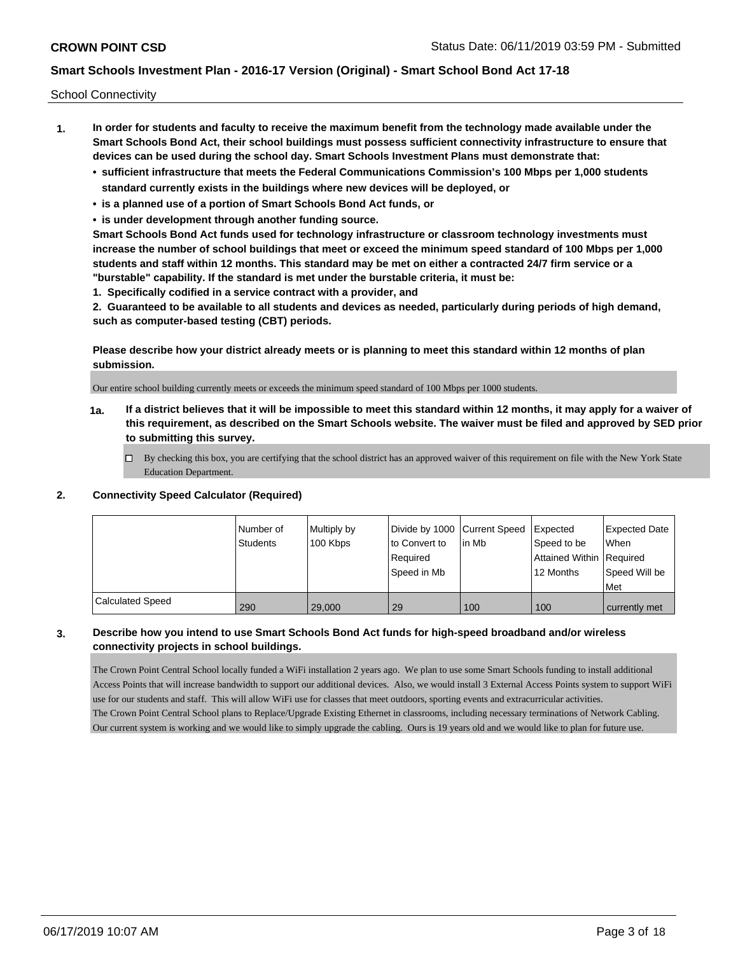School Connectivity

- **1. In order for students and faculty to receive the maximum benefit from the technology made available under the Smart Schools Bond Act, their school buildings must possess sufficient connectivity infrastructure to ensure that devices can be used during the school day. Smart Schools Investment Plans must demonstrate that:**
	- **• sufficient infrastructure that meets the Federal Communications Commission's 100 Mbps per 1,000 students standard currently exists in the buildings where new devices will be deployed, or**
	- **• is a planned use of a portion of Smart Schools Bond Act funds, or**
	- **• is under development through another funding source.**

**Smart Schools Bond Act funds used for technology infrastructure or classroom technology investments must increase the number of school buildings that meet or exceed the minimum speed standard of 100 Mbps per 1,000 students and staff within 12 months. This standard may be met on either a contracted 24/7 firm service or a "burstable" capability. If the standard is met under the burstable criteria, it must be:**

**1. Specifically codified in a service contract with a provider, and**

**2. Guaranteed to be available to all students and devices as needed, particularly during periods of high demand, such as computer-based testing (CBT) periods.**

**Please describe how your district already meets or is planning to meet this standard within 12 months of plan submission.**

Our entire school building currently meets or exceeds the minimum speed standard of 100 Mbps per 1000 students.

**1a. If a district believes that it will be impossible to meet this standard within 12 months, it may apply for a waiver of this requirement, as described on the Smart Schools website. The waiver must be filed and approved by SED prior to submitting this survey.**

 $\Box$  By checking this box, you are certifying that the school district has an approved waiver of this requirement on file with the New York State Education Department.

#### **2. Connectivity Speed Calculator (Required)**

|                         | l Number of<br>Students | Multiply by<br>100 Kbps | Divide by 1000 Current Speed<br>to Convert to<br>Required<br>Speed in Mb | lin Mb | <b>Expected</b><br>Speed to be<br>Attained Within   Required<br>12 Months | <b>Expected Date</b><br>When<br>Speed Will be<br>Met |
|-------------------------|-------------------------|-------------------------|--------------------------------------------------------------------------|--------|---------------------------------------------------------------------------|------------------------------------------------------|
| <b>Calculated Speed</b> | 290                     | 29,000                  | 29                                                                       | 100    | 100                                                                       | currently met                                        |

### **3. Describe how you intend to use Smart Schools Bond Act funds for high-speed broadband and/or wireless connectivity projects in school buildings.**

The Crown Point Central School locally funded a WiFi installation 2 years ago. We plan to use some Smart Schools funding to install additional Access Points that will increase bandwidth to support our additional devices. Also, we would install 3 External Access Points system to support WiFi use for our students and staff. This will allow WiFi use for classes that meet outdoors, sporting events and extracurricular activities. The Crown Point Central School plans to Replace/Upgrade Existing Ethernet in classrooms, including necessary terminations of Network Cabling. Our current system is working and we would like to simply upgrade the cabling. Ours is 19 years old and we would like to plan for future use.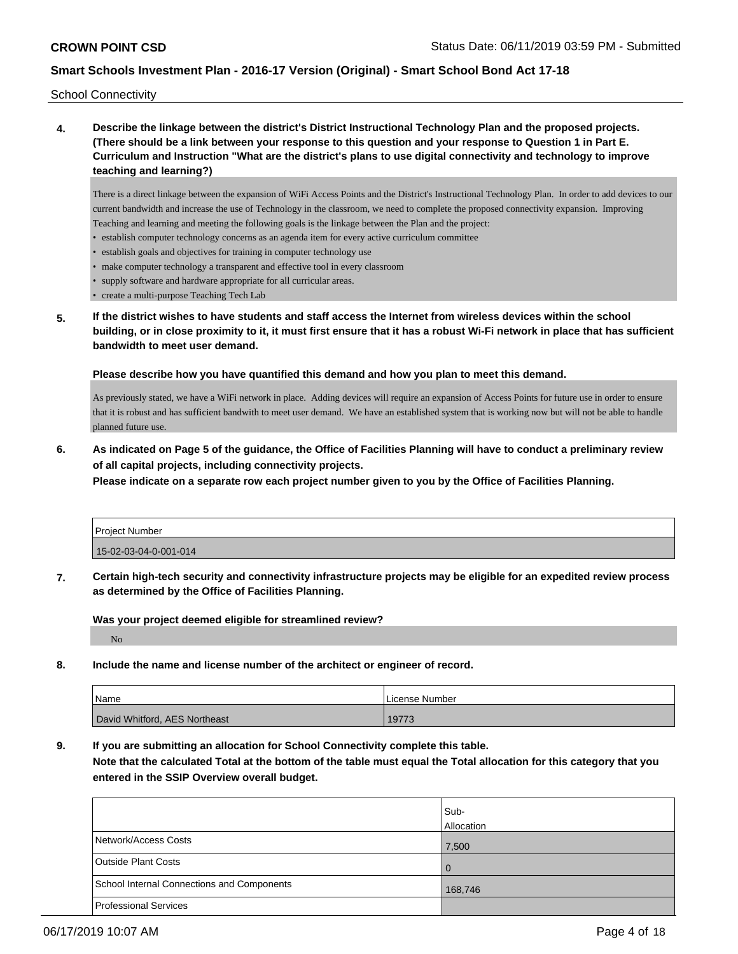School Connectivity

**4. Describe the linkage between the district's District Instructional Technology Plan and the proposed projects. (There should be a link between your response to this question and your response to Question 1 in Part E. Curriculum and Instruction "What are the district's plans to use digital connectivity and technology to improve teaching and learning?)**

There is a direct linkage between the expansion of WiFi Access Points and the District's Instructional Technology Plan. In order to add devices to our current bandwidth and increase the use of Technology in the classroom, we need to complete the proposed connectivity expansion. Improving Teaching and learning and meeting the following goals is the linkage between the Plan and the project:

- establish computer technology concerns as an agenda item for every active curriculum committee
- establish goals and objectives for training in computer technology use
- make computer technology a transparent and effective tool in every classroom
- supply software and hardware appropriate for all curricular areas.
- create a multi-purpose Teaching Tech Lab
- **5. If the district wishes to have students and staff access the Internet from wireless devices within the school building, or in close proximity to it, it must first ensure that it has a robust Wi-Fi network in place that has sufficient bandwidth to meet user demand.**

**Please describe how you have quantified this demand and how you plan to meet this demand.**

As previously stated, we have a WiFi network in place. Adding devices will require an expansion of Access Points for future use in order to ensure that it is robust and has sufficient bandwith to meet user demand. We have an established system that is working now but will not be able to handle planned future use.

**6. As indicated on Page 5 of the guidance, the Office of Facilities Planning will have to conduct a preliminary review of all capital projects, including connectivity projects.**

**Please indicate on a separate row each project number given to you by the Office of Facilities Planning.**

| Project Number        |  |
|-----------------------|--|
| 15-02-03-04-0-001-014 |  |

**7. Certain high-tech security and connectivity infrastructure projects may be eligible for an expedited review process as determined by the Office of Facilities Planning.**

**Was your project deemed eligible for streamlined review?**

No

**8. Include the name and license number of the architect or engineer of record.**

| <b>Name</b>                   | License Number |
|-------------------------------|----------------|
| David Whitford, AES Northeast | 19773          |

**9. If you are submitting an allocation for School Connectivity complete this table. Note that the calculated Total at the bottom of the table must equal the Total allocation for this category that you entered in the SSIP Overview overall budget.** 

|                                            | Sub-       |
|--------------------------------------------|------------|
|                                            | Allocation |
| Network/Access Costs                       | 7,500      |
| <b>Outside Plant Costs</b>                 | l 0        |
| School Internal Connections and Components | 168,746    |
| Professional Services                      |            |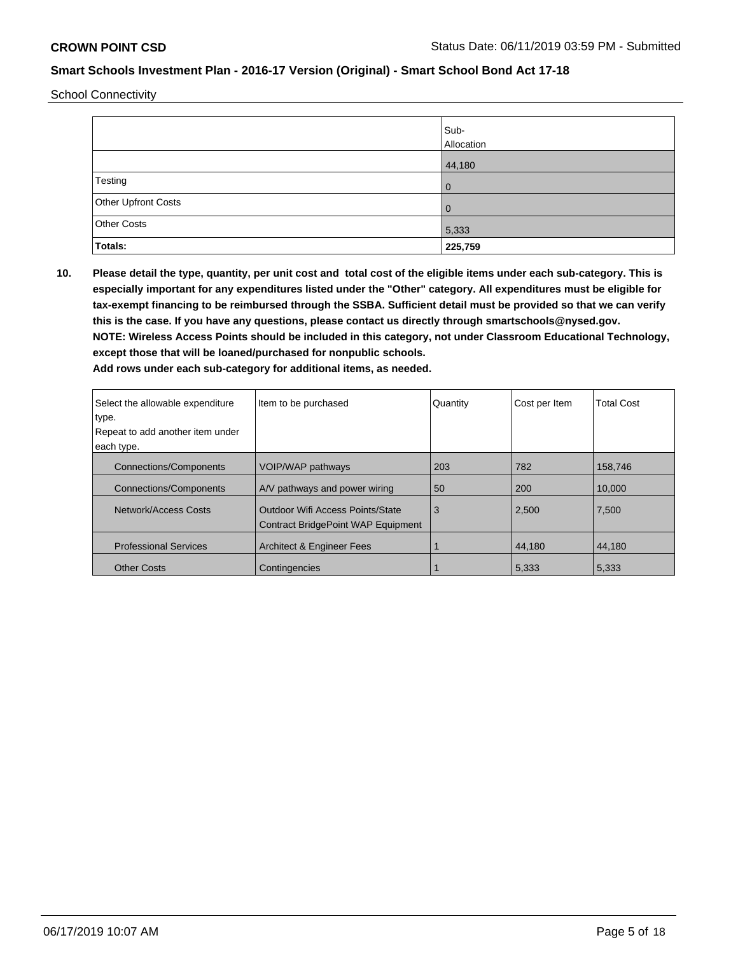School Connectivity

|                     | Sub-<br>Allocation |
|---------------------|--------------------|
|                     | 44,180             |
| Testing             | 0                  |
| Other Upfront Costs | 0                  |
| Other Costs         | 5,333              |
| Totals:             | 225,759            |

**10. Please detail the type, quantity, per unit cost and total cost of the eligible items under each sub-category. This is especially important for any expenditures listed under the "Other" category. All expenditures must be eligible for tax-exempt financing to be reimbursed through the SSBA. Sufficient detail must be provided so that we can verify this is the case. If you have any questions, please contact us directly through smartschools@nysed.gov. NOTE: Wireless Access Points should be included in this category, not under Classroom Educational Technology, except those that will be loaned/purchased for nonpublic schools.**

| Select the allowable expenditure | Item to be purchased                                                                 | Quantity | Cost per Item | <b>Total Cost</b> |
|----------------------------------|--------------------------------------------------------------------------------------|----------|---------------|-------------------|
| type.                            |                                                                                      |          |               |                   |
| Repeat to add another item under |                                                                                      |          |               |                   |
| each type.                       |                                                                                      |          |               |                   |
| <b>Connections/Components</b>    | VOIP/WAP pathways                                                                    | 203      | 782           | 158.746           |
| <b>Connections/Components</b>    | A/V pathways and power wiring                                                        | 50       | 200           | 10.000            |
| Network/Access Costs             | <b>Outdoor Wifi Access Points/State</b><br><b>Contract BridgePoint WAP Equipment</b> | 3        | 2,500         | 7,500             |
| <b>Professional Services</b>     | <b>Architect &amp; Engineer Fees</b>                                                 |          | 44.180        | 44.180            |
| <b>Other Costs</b>               | Contingencies                                                                        |          | 5.333         | 5.333             |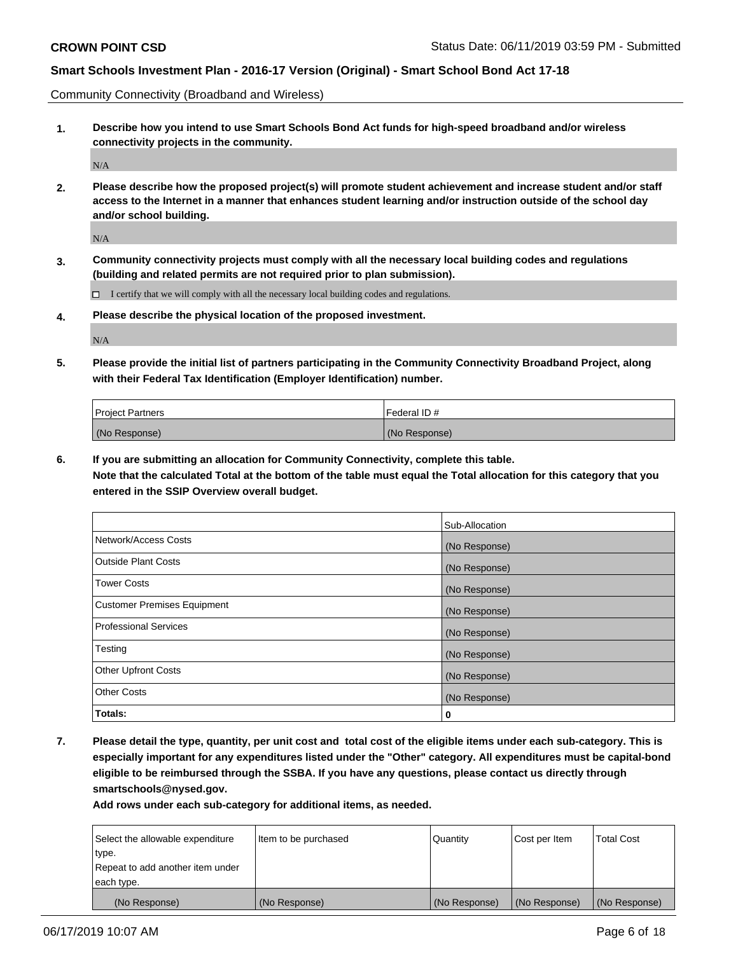Community Connectivity (Broadband and Wireless)

**1. Describe how you intend to use Smart Schools Bond Act funds for high-speed broadband and/or wireless connectivity projects in the community.**

N/A

**2. Please describe how the proposed project(s) will promote student achievement and increase student and/or staff access to the Internet in a manner that enhances student learning and/or instruction outside of the school day and/or school building.**

N/A

**3. Community connectivity projects must comply with all the necessary local building codes and regulations (building and related permits are not required prior to plan submission).**

 $\Box$  I certify that we will comply with all the necessary local building codes and regulations.

**4. Please describe the physical location of the proposed investment.**

N/A

**5. Please provide the initial list of partners participating in the Community Connectivity Broadband Project, along with their Federal Tax Identification (Employer Identification) number.**

| <b>Project Partners</b> | Federal ID#   |
|-------------------------|---------------|
| (No Response)           | (No Response) |

**6. If you are submitting an allocation for Community Connectivity, complete this table.**

**Note that the calculated Total at the bottom of the table must equal the Total allocation for this category that you entered in the SSIP Overview overall budget.**

|                                    | Sub-Allocation |
|------------------------------------|----------------|
| Network/Access Costs               | (No Response)  |
| <b>Outside Plant Costs</b>         | (No Response)  |
| <b>Tower Costs</b>                 | (No Response)  |
| <b>Customer Premises Equipment</b> | (No Response)  |
| <b>Professional Services</b>       | (No Response)  |
| Testing                            | (No Response)  |
| <b>Other Upfront Costs</b>         | (No Response)  |
| <b>Other Costs</b>                 | (No Response)  |
| Totals:                            | 0              |

**7. Please detail the type, quantity, per unit cost and total cost of the eligible items under each sub-category. This is especially important for any expenditures listed under the "Other" category. All expenditures must be capital-bond eligible to be reimbursed through the SSBA. If you have any questions, please contact us directly through smartschools@nysed.gov.**

| Select the allowable expenditure<br>type. | Item to be purchased | Quantity      | Cost per Item | <b>Total Cost</b> |
|-------------------------------------------|----------------------|---------------|---------------|-------------------|
| Repeat to add another item under          |                      |               |               |                   |
| each type.                                |                      |               |               |                   |
| (No Response)                             | (No Response)        | (No Response) | (No Response) | (No Response)     |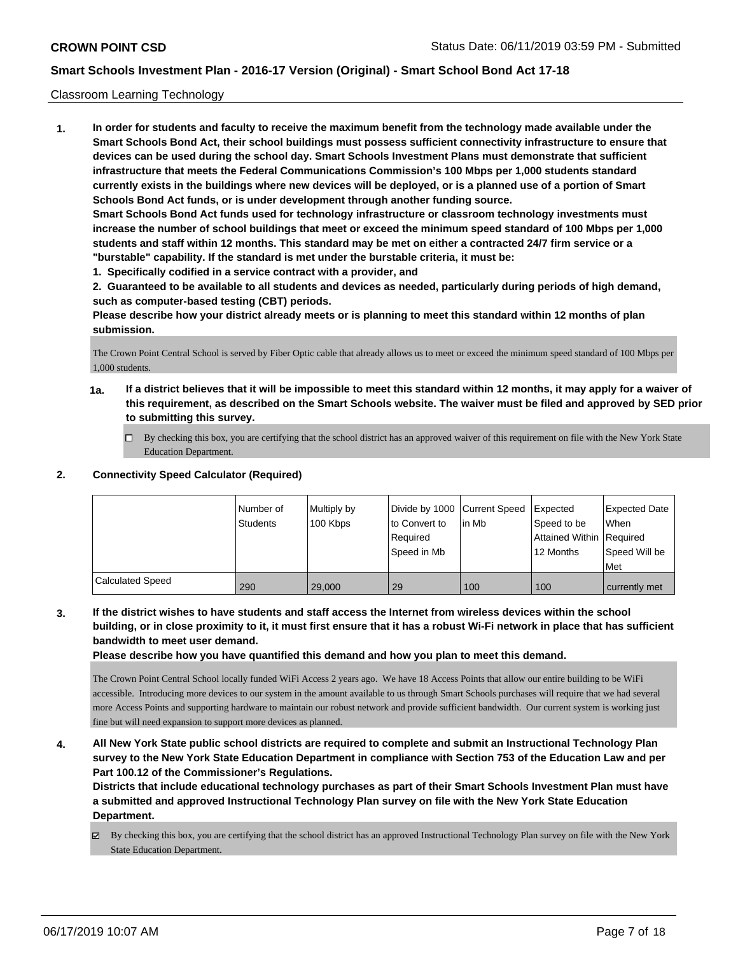#### Classroom Learning Technology

**1. In order for students and faculty to receive the maximum benefit from the technology made available under the Smart Schools Bond Act, their school buildings must possess sufficient connectivity infrastructure to ensure that devices can be used during the school day. Smart Schools Investment Plans must demonstrate that sufficient infrastructure that meets the Federal Communications Commission's 100 Mbps per 1,000 students standard currently exists in the buildings where new devices will be deployed, or is a planned use of a portion of Smart Schools Bond Act funds, or is under development through another funding source. Smart Schools Bond Act funds used for technology infrastructure or classroom technology investments must increase the number of school buildings that meet or exceed the minimum speed standard of 100 Mbps per 1,000 students and staff within 12 months. This standard may be met on either a contracted 24/7 firm service or a "burstable" capability. If the standard is met under the burstable criteria, it must be:**

**1. Specifically codified in a service contract with a provider, and**

**2. Guaranteed to be available to all students and devices as needed, particularly during periods of high demand, such as computer-based testing (CBT) periods.**

**Please describe how your district already meets or is planning to meet this standard within 12 months of plan submission.**

The Crown Point Central School is served by Fiber Optic cable that already allows us to meet or exceed the minimum speed standard of 100 Mbps per 1,000 students.

- **1a. If a district believes that it will be impossible to meet this standard within 12 months, it may apply for a waiver of this requirement, as described on the Smart Schools website. The waiver must be filed and approved by SED prior to submitting this survey.**
	- By checking this box, you are certifying that the school district has an approved waiver of this requirement on file with the New York State Education Department.

#### **2. Connectivity Speed Calculator (Required)**

|                         | I Number of | Multiply by | Divide by 1000 Current Speed |       | Expected                 | <b>Expected Date</b> |
|-------------------------|-------------|-------------|------------------------------|-------|--------------------------|----------------------|
|                         | Students    | 100 Kbps    | to Convert to                | in Mb | Speed to be              | <b>When</b>          |
|                         |             |             | Required                     |       | Attained Within Required |                      |
|                         |             |             | Speed in Mb                  |       | 12 Months                | Speed Will be        |
|                         |             |             |                              |       |                          | Met                  |
| <b>Calculated Speed</b> | 290         | 29.000      | 29                           | 100   | 100                      | currently met        |

**3. If the district wishes to have students and staff access the Internet from wireless devices within the school building, or in close proximity to it, it must first ensure that it has a robust Wi-Fi network in place that has sufficient bandwidth to meet user demand.**

**Please describe how you have quantified this demand and how you plan to meet this demand.**

The Crown Point Central School locally funded WiFi Access 2 years ago. We have 18 Access Points that allow our entire building to be WiFi accessible. Introducing more devices to our system in the amount available to us through Smart Schools purchases will require that we had several more Access Points and supporting hardware to maintain our robust network and provide sufficient bandwidth. Our current system is working just fine but will need expansion to support more devices as planned.

**4. All New York State public school districts are required to complete and submit an Instructional Technology Plan survey to the New York State Education Department in compliance with Section 753 of the Education Law and per Part 100.12 of the Commissioner's Regulations.**

**Districts that include educational technology purchases as part of their Smart Schools Investment Plan must have a submitted and approved Instructional Technology Plan survey on file with the New York State Education Department.**

By checking this box, you are certifying that the school district has an approved Instructional Technology Plan survey on file with the New York State Education Department.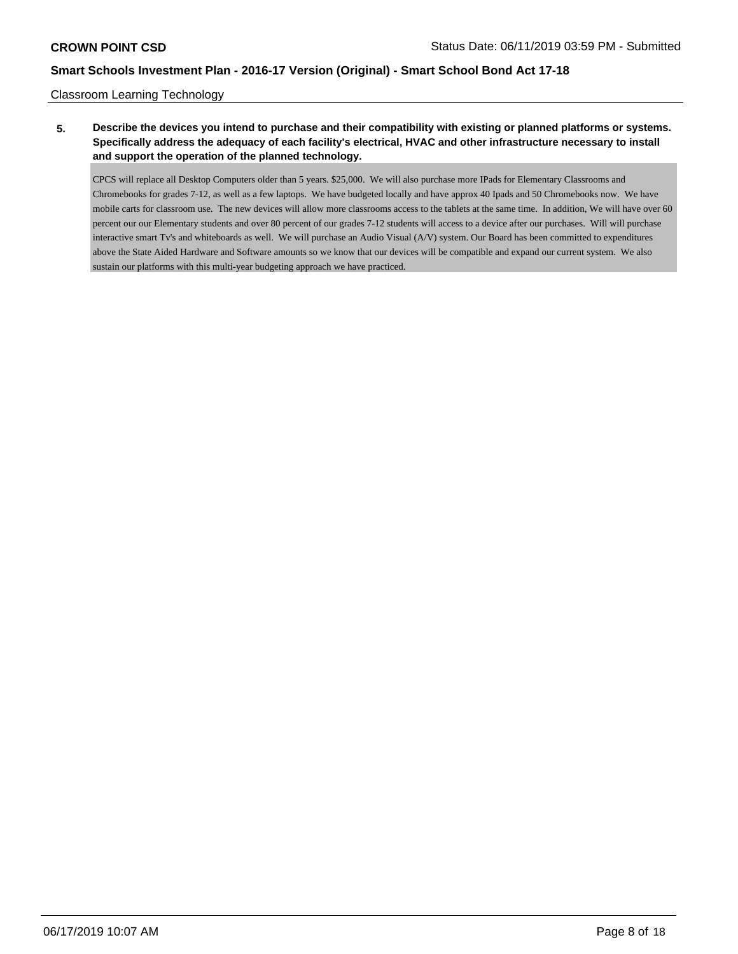#### Classroom Learning Technology

## **5. Describe the devices you intend to purchase and their compatibility with existing or planned platforms or systems. Specifically address the adequacy of each facility's electrical, HVAC and other infrastructure necessary to install and support the operation of the planned technology.**

CPCS will replace all Desktop Computers older than 5 years. \$25,000. We will also purchase more IPads for Elementary Classrooms and Chromebooks for grades 7-12, as well as a few laptops. We have budgeted locally and have approx 40 Ipads and 50 Chromebooks now. We have mobile carts for classroom use. The new devices will allow more classrooms access to the tablets at the same time. In addition, We will have over 60 percent our our Elementary students and over 80 percent of our grades 7-12 students will access to a device after our purchases. Will will purchase interactive smart Tv's and whiteboards as well. We will purchase an Audio Visual (A/V) system. Our Board has been committed to expenditures above the State Aided Hardware and Software amounts so we know that our devices will be compatible and expand our current system. We also sustain our platforms with this multi-year budgeting approach we have practiced.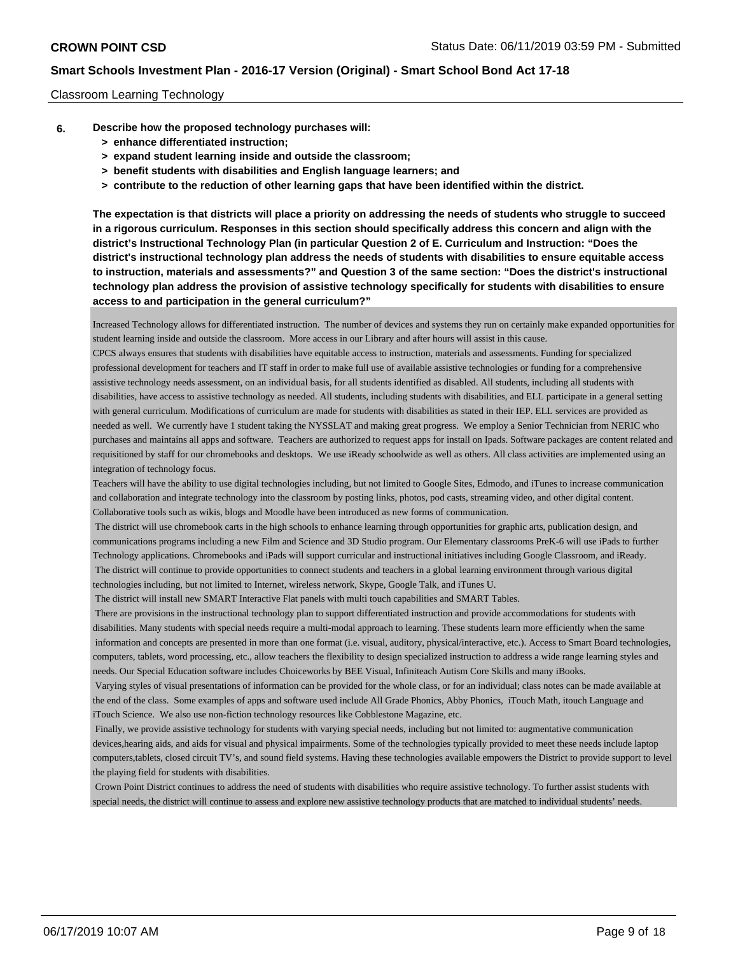#### Classroom Learning Technology

- **6. Describe how the proposed technology purchases will:**
	- **> enhance differentiated instruction;**
	- **> expand student learning inside and outside the classroom;**
	- **> benefit students with disabilities and English language learners; and**
	- **> contribute to the reduction of other learning gaps that have been identified within the district.**

**The expectation is that districts will place a priority on addressing the needs of students who struggle to succeed in a rigorous curriculum. Responses in this section should specifically address this concern and align with the district's Instructional Technology Plan (in particular Question 2 of E. Curriculum and Instruction: "Does the district's instructional technology plan address the needs of students with disabilities to ensure equitable access to instruction, materials and assessments?" and Question 3 of the same section: "Does the district's instructional technology plan address the provision of assistive technology specifically for students with disabilities to ensure access to and participation in the general curriculum?"**

Increased Technology allows for differentiated instruction. The number of devices and systems they run on certainly make expanded opportunities for student learning inside and outside the classroom. More access in our Library and after hours will assist in this cause.

CPCS always ensures that students with disabilities have equitable access to instruction, materials and assessments. Funding for specialized professional development for teachers and IT staff in order to make full use of available assistive technologies or funding for a comprehensive assistive technology needs assessment, on an individual basis, for all students identified as disabled. All students, including all students with disabilities, have access to assistive technology as needed. All students, including students with disabilities, and ELL participate in a general setting with general curriculum. Modifications of curriculum are made for students with disabilities as stated in their IEP. ELL services are provided as needed as well. We currently have 1 student taking the NYSSLAT and making great progress. We employ a Senior Technician from NERIC who purchases and maintains all apps and software. Teachers are authorized to request apps for install on Ipads. Software packages are content related and requisitioned by staff for our chromebooks and desktops. We use iReady schoolwide as well as others. All class activities are implemented using an integration of technology focus.

Teachers will have the ability to use digital technologies including, but not limited to Google Sites, Edmodo, and iTunes to increase communication and collaboration and integrate technology into the classroom by posting links, photos, pod casts, streaming video, and other digital content. Collaborative tools such as wikis, blogs and Moodle have been introduced as new forms of communication.

 The district will use chromebook carts in the high schools to enhance learning through opportunities for graphic arts, publication design, and communications programs including a new Film and Science and 3D Studio program. Our Elementary classrooms PreK-6 will use iPads to further Technology applications. Chromebooks and iPads will support curricular and instructional initiatives including Google Classroom, and iReady. The district will continue to provide opportunities to connect students and teachers in a global learning environment through various digital technologies including, but not limited to Internet, wireless network, Skype, Google Talk, and iTunes U.

The district will install new SMART Interactive Flat panels with multi touch capabilities and SMART Tables.

 There are provisions in the instructional technology plan to support differentiated instruction and provide accommodations for students with disabilities. Many students with special needs require a multi-modal approach to learning. These students learn more efficiently when the same information and concepts are presented in more than one format (i.e. visual, auditory, physical/interactive, etc.). Access to Smart Board technologies, computers, tablets, word processing, etc., allow teachers the flexibility to design specialized instruction to address a wide range learning styles and needs. Our Special Education software includes Choiceworks by BEE Visual, Infiniteach Autism Core Skills and many iBooks.

 Varying styles of visual presentations of information can be provided for the whole class, or for an individual; class notes can be made available at the end of the class. Some examples of apps and software used include All Grade Phonics, Abby Phonics, iTouch Math, itouch Language and iTouch Science. We also use non-fiction technology resources like Cobblestone Magazine, etc.

 Finally, we provide assistive technology for students with varying special needs, including but not limited to: augmentative communication devices,hearing aids, and aids for visual and physical impairments. Some of the technologies typically provided to meet these needs include laptop computers,tablets, closed circuit TV's, and sound field systems. Having these technologies available empowers the District to provide support to level the playing field for students with disabilities.

 Crown Point District continues to address the need of students with disabilities who require assistive technology. To further assist students with special needs, the district will continue to assess and explore new assistive technology products that are matched to individual students' needs.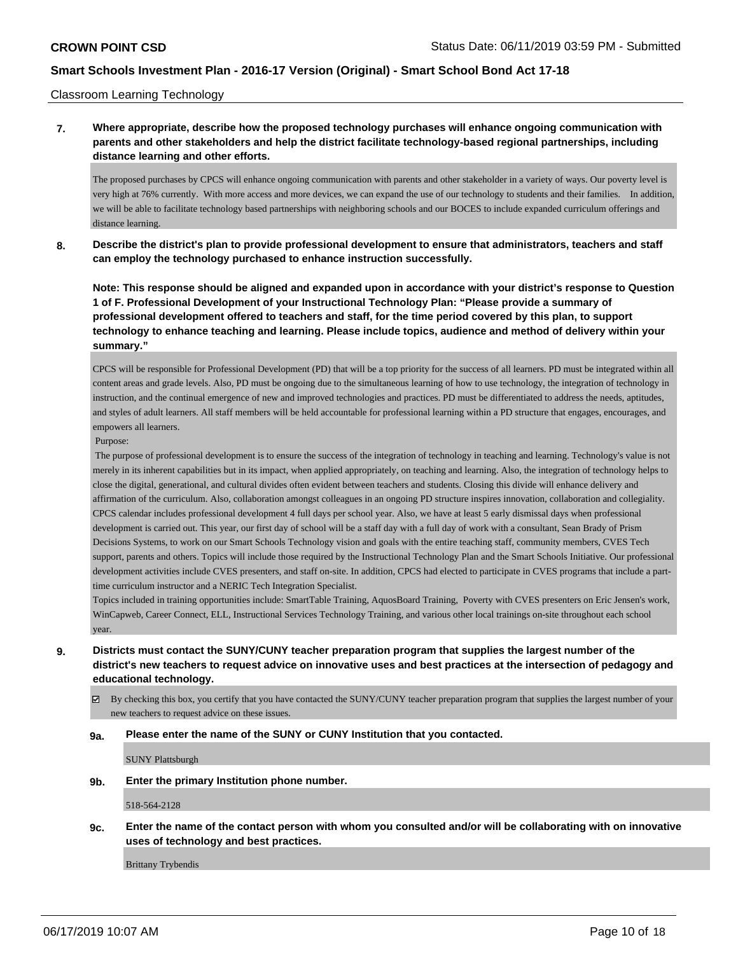Classroom Learning Technology

### **7. Where appropriate, describe how the proposed technology purchases will enhance ongoing communication with parents and other stakeholders and help the district facilitate technology-based regional partnerships, including distance learning and other efforts.**

The proposed purchases by CPCS will enhance ongoing communication with parents and other stakeholder in a variety of ways. Our poverty level is very high at 76% currently. With more access and more devices, we can expand the use of our technology to students and their families. In addition, we will be able to facilitate technology based partnerships with neighboring schools and our BOCES to include expanded curriculum offerings and distance learning.

**8. Describe the district's plan to provide professional development to ensure that administrators, teachers and staff can employ the technology purchased to enhance instruction successfully.**

**Note: This response should be aligned and expanded upon in accordance with your district's response to Question 1 of F. Professional Development of your Instructional Technology Plan: "Please provide a summary of professional development offered to teachers and staff, for the time period covered by this plan, to support technology to enhance teaching and learning. Please include topics, audience and method of delivery within your summary."**

CPCS will be responsible for Professional Development (PD) that will be a top priority for the success of all learners. PD must be integrated within all content areas and grade levels. Also, PD must be ongoing due to the simultaneous learning of how to use technology, the integration of technology in instruction, and the continual emergence of new and improved technologies and practices. PD must be differentiated to address the needs, aptitudes, and styles of adult learners. All staff members will be held accountable for professional learning within a PD structure that engages, encourages, and empowers all learners.

#### Purpose:

 The purpose of professional development is to ensure the success of the integration of technology in teaching and learning. Technology's value is not merely in its inherent capabilities but in its impact, when applied appropriately, on teaching and learning. Also, the integration of technology helps to close the digital, generational, and cultural divides often evident between teachers and students. Closing this divide will enhance delivery and affirmation of the curriculum. Also, collaboration amongst colleagues in an ongoing PD structure inspires innovation, collaboration and collegiality. CPCS calendar includes professional development 4 full days per school year. Also, we have at least 5 early dismissal days when professional development is carried out. This year, our first day of school will be a staff day with a full day of work with a consultant, Sean Brady of Prism Decisions Systems, to work on our Smart Schools Technology vision and goals with the entire teaching staff, community members, CVES Tech support, parents and others. Topics will include those required by the Instructional Technology Plan and the Smart Schools Initiative. Our professional development activities include CVES presenters, and staff on-site. In addition, CPCS had elected to participate in CVES programs that include a parttime curriculum instructor and a NERIC Tech Integration Specialist.

Topics included in training opportunities include: SmartTable Training, AquosBoard Training, Poverty with CVES presenters on Eric Jensen's work, WinCapweb, Career Connect, ELL, Instructional Services Technology Training, and various other local trainings on-site throughout each school year.

- **9. Districts must contact the SUNY/CUNY teacher preparation program that supplies the largest number of the district's new teachers to request advice on innovative uses and best practices at the intersection of pedagogy and educational technology.**
	- $\boxtimes$  By checking this box, you certify that you have contacted the SUNY/CUNY teacher preparation program that supplies the largest number of your new teachers to request advice on these issues.

#### **9a. Please enter the name of the SUNY or CUNY Institution that you contacted.**

SUNY Plattsburgh

**9b. Enter the primary Institution phone number.**

518-564-2128

**9c. Enter the name of the contact person with whom you consulted and/or will be collaborating with on innovative uses of technology and best practices.**

Brittany Trybendis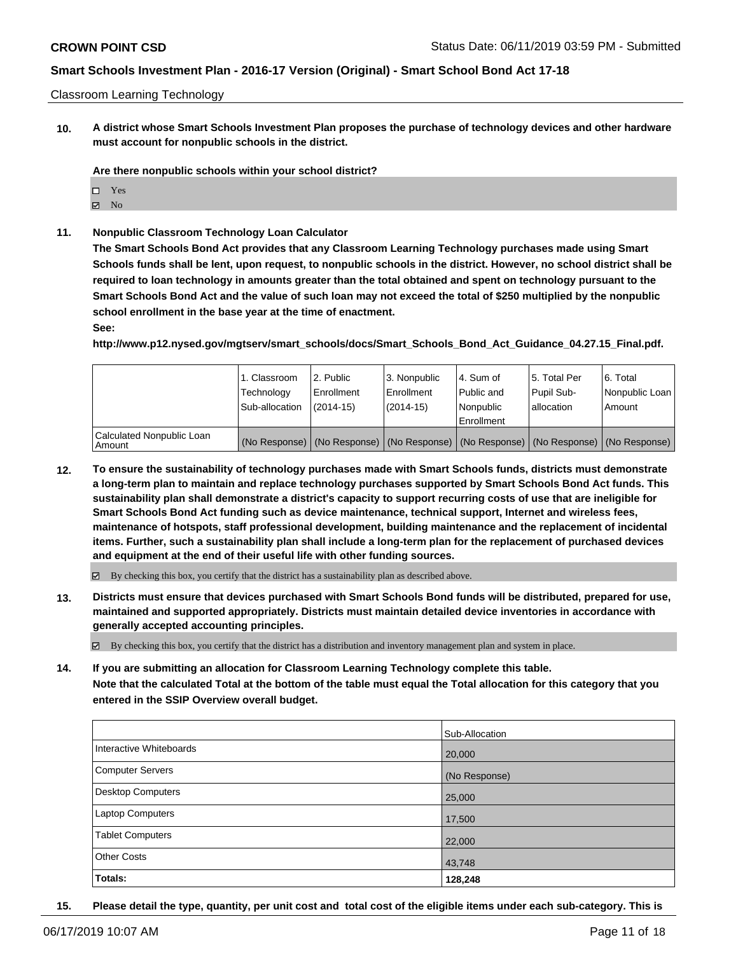#### Classroom Learning Technology

**10. A district whose Smart Schools Investment Plan proposes the purchase of technology devices and other hardware must account for nonpublic schools in the district.**

**Are there nonpublic schools within your school district?**

- □ Yes
- $\boxtimes$  No
- **11. Nonpublic Classroom Technology Loan Calculator**

**The Smart Schools Bond Act provides that any Classroom Learning Technology purchases made using Smart Schools funds shall be lent, upon request, to nonpublic schools in the district. However, no school district shall be required to loan technology in amounts greater than the total obtained and spent on technology pursuant to the Smart Schools Bond Act and the value of such loan may not exceed the total of \$250 multiplied by the nonpublic school enrollment in the base year at the time of enactment.**

**See:**

**http://www.p12.nysed.gov/mgtserv/smart\_schools/docs/Smart\_Schools\_Bond\_Act\_Guidance\_04.27.15\_Final.pdf.**

|                                     | 1. Classroom<br>Technology<br>Sub-allocation | l 2. Public<br>l Enrollment<br>$(2014 - 15)$ | 3. Nonpublic<br>Enrollment<br>$(2014-15)$ | l 4. Sum of<br>Public and<br>Nonpublic<br>Enrollment | 15. Total Per<br>Pupil Sub-<br>lallocation | 6. Total<br>Nonpublic Loan<br>Amount                                                          |
|-------------------------------------|----------------------------------------------|----------------------------------------------|-------------------------------------------|------------------------------------------------------|--------------------------------------------|-----------------------------------------------------------------------------------------------|
| Calculated Nonpublic Loan<br>Amount |                                              |                                              |                                           |                                                      |                                            | (No Response)   (No Response)   (No Response)   (No Response)   (No Response)   (No Response) |

**12. To ensure the sustainability of technology purchases made with Smart Schools funds, districts must demonstrate a long-term plan to maintain and replace technology purchases supported by Smart Schools Bond Act funds. This sustainability plan shall demonstrate a district's capacity to support recurring costs of use that are ineligible for Smart Schools Bond Act funding such as device maintenance, technical support, Internet and wireless fees, maintenance of hotspots, staff professional development, building maintenance and the replacement of incidental items. Further, such a sustainability plan shall include a long-term plan for the replacement of purchased devices and equipment at the end of their useful life with other funding sources.**

By checking this box, you certify that the district has a sustainability plan as described above.

**13. Districts must ensure that devices purchased with Smart Schools Bond funds will be distributed, prepared for use, maintained and supported appropriately. Districts must maintain detailed device inventories in accordance with generally accepted accounting principles.**

 $\boxtimes$  By checking this box, you certify that the district has a distribution and inventory management plan and system in place.

**14. If you are submitting an allocation for Classroom Learning Technology complete this table. Note that the calculated Total at the bottom of the table must equal the Total allocation for this category that you entered in the SSIP Overview overall budget.**

|                          | Sub-Allocation |
|--------------------------|----------------|
| Interactive Whiteboards  | 20,000         |
| <b>Computer Servers</b>  | (No Response)  |
| <b>Desktop Computers</b> | 25,000         |
| Laptop Computers         | 17,500         |
| <b>Tablet Computers</b>  | 22,000         |
| <b>Other Costs</b>       | 43,748         |
| Totals:                  | 128,248        |

**15. Please detail the type, quantity, per unit cost and total cost of the eligible items under each sub-category. This is**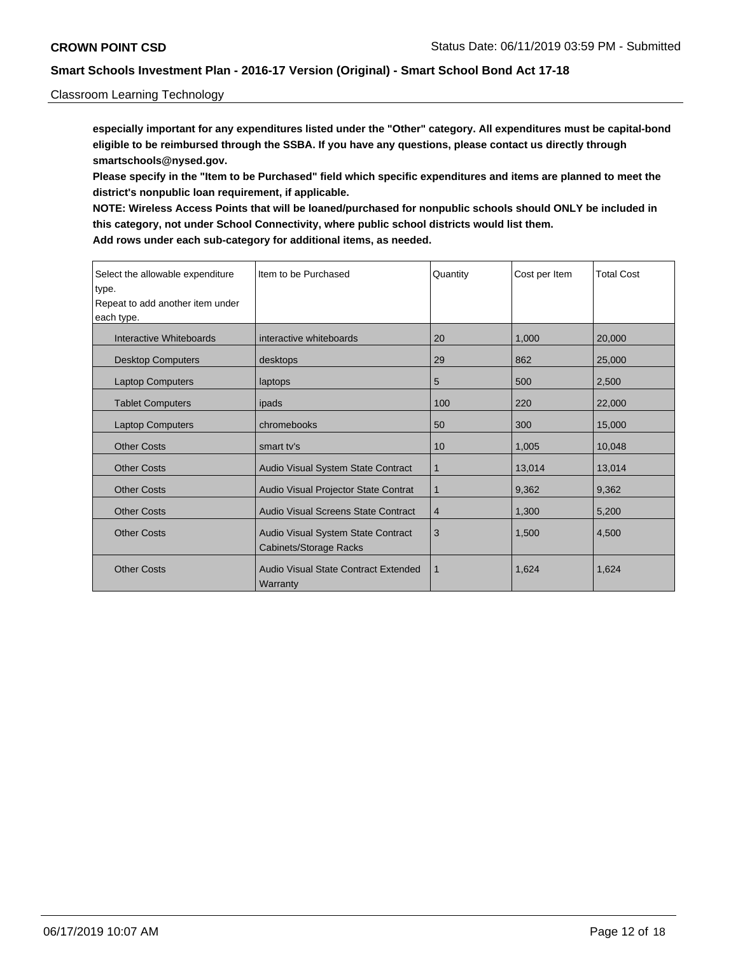#### Classroom Learning Technology

**especially important for any expenditures listed under the "Other" category. All expenditures must be capital-bond eligible to be reimbursed through the SSBA. If you have any questions, please contact us directly through smartschools@nysed.gov.**

**Please specify in the "Item to be Purchased" field which specific expenditures and items are planned to meet the district's nonpublic loan requirement, if applicable.**

**NOTE: Wireless Access Points that will be loaned/purchased for nonpublic schools should ONLY be included in this category, not under School Connectivity, where public school districts would list them. Add rows under each sub-category for additional items, as needed.**

| Select the allowable expenditure<br>type.<br>Repeat to add another item under<br>each type. | l Item to be Purchased                                       | Quantity     | Cost per Item | <b>Total Cost</b> |
|---------------------------------------------------------------------------------------------|--------------------------------------------------------------|--------------|---------------|-------------------|
|                                                                                             |                                                              |              |               |                   |
| Interactive Whiteboards                                                                     | interactive whiteboards                                      | 20           | 1,000         | 20,000            |
| <b>Desktop Computers</b>                                                                    | desktops                                                     | 29           | 862           | 25,000            |
| <b>Laptop Computers</b>                                                                     | laptops                                                      | 5            | 500           | 2,500             |
| <b>Tablet Computers</b>                                                                     | ipads                                                        | 100          | 220           | 22,000            |
| <b>Laptop Computers</b>                                                                     | chromebooks                                                  | 50           | 300           | 15,000            |
| <b>Other Costs</b>                                                                          | smart ty's                                                   | 10           | 1,005         | 10.048            |
| <b>Other Costs</b>                                                                          | Audio Visual System State Contract                           | $\mathbf{1}$ | 13,014        | 13,014            |
| <b>Other Costs</b>                                                                          | Audio Visual Projector State Contrat                         | $\mathbf 1$  | 9,362         | 9,362             |
| <b>Other Costs</b>                                                                          | Audio Visual Screens State Contract                          | 4            | 1,300         | 5,200             |
| <b>Other Costs</b>                                                                          | Audio Visual System State Contract<br>Cabinets/Storage Racks | 3            | 1.500         | 4,500             |
| <b>Other Costs</b>                                                                          | Audio Visual State Contract Extended<br>Warranty             | 1            | 1,624         | 1,624             |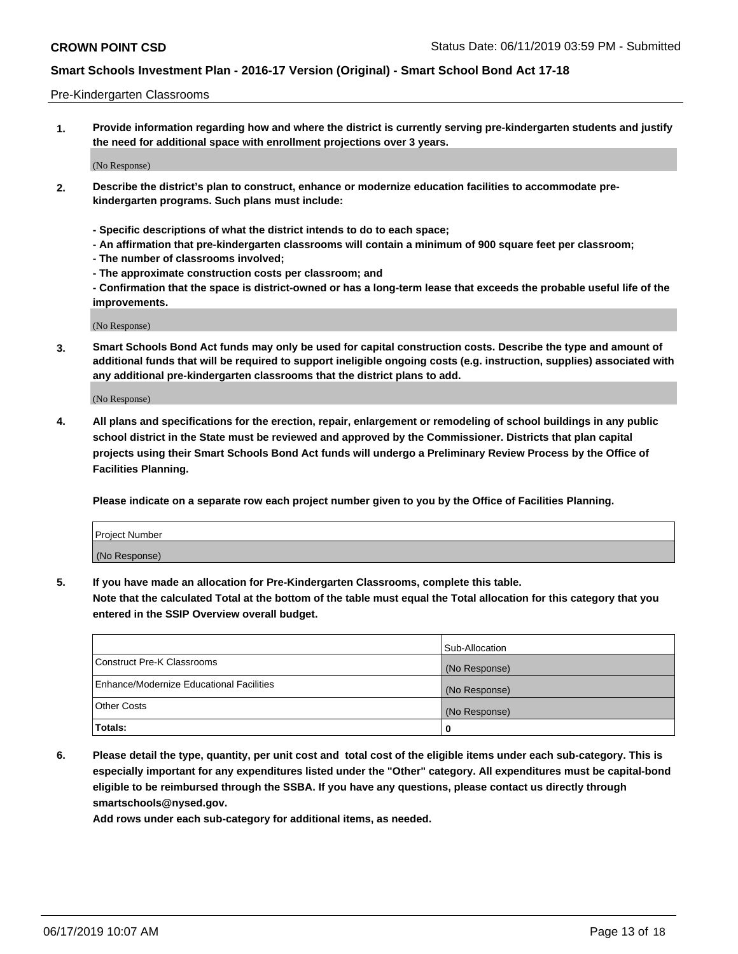#### Pre-Kindergarten Classrooms

**1. Provide information regarding how and where the district is currently serving pre-kindergarten students and justify the need for additional space with enrollment projections over 3 years.**

(No Response)

- **2. Describe the district's plan to construct, enhance or modernize education facilities to accommodate prekindergarten programs. Such plans must include:**
	- **Specific descriptions of what the district intends to do to each space;**
	- **An affirmation that pre-kindergarten classrooms will contain a minimum of 900 square feet per classroom;**
	- **The number of classrooms involved;**
	- **The approximate construction costs per classroom; and**
	- **Confirmation that the space is district-owned or has a long-term lease that exceeds the probable useful life of the improvements.**

(No Response)

**3. Smart Schools Bond Act funds may only be used for capital construction costs. Describe the type and amount of additional funds that will be required to support ineligible ongoing costs (e.g. instruction, supplies) associated with any additional pre-kindergarten classrooms that the district plans to add.**

(No Response)

**4. All plans and specifications for the erection, repair, enlargement or remodeling of school buildings in any public school district in the State must be reviewed and approved by the Commissioner. Districts that plan capital projects using their Smart Schools Bond Act funds will undergo a Preliminary Review Process by the Office of Facilities Planning.**

**Please indicate on a separate row each project number given to you by the Office of Facilities Planning.**

| Project Number |  |
|----------------|--|
| (No Response)  |  |
|                |  |

**5. If you have made an allocation for Pre-Kindergarten Classrooms, complete this table.**

**Note that the calculated Total at the bottom of the table must equal the Total allocation for this category that you entered in the SSIP Overview overall budget.**

|                                          | Sub-Allocation |
|------------------------------------------|----------------|
| Construct Pre-K Classrooms               | (No Response)  |
| Enhance/Modernize Educational Facilities | (No Response)  |
| <b>Other Costs</b>                       | (No Response)  |
| Totals:                                  | 0              |

**6. Please detail the type, quantity, per unit cost and total cost of the eligible items under each sub-category. This is especially important for any expenditures listed under the "Other" category. All expenditures must be capital-bond eligible to be reimbursed through the SSBA. If you have any questions, please contact us directly through smartschools@nysed.gov.**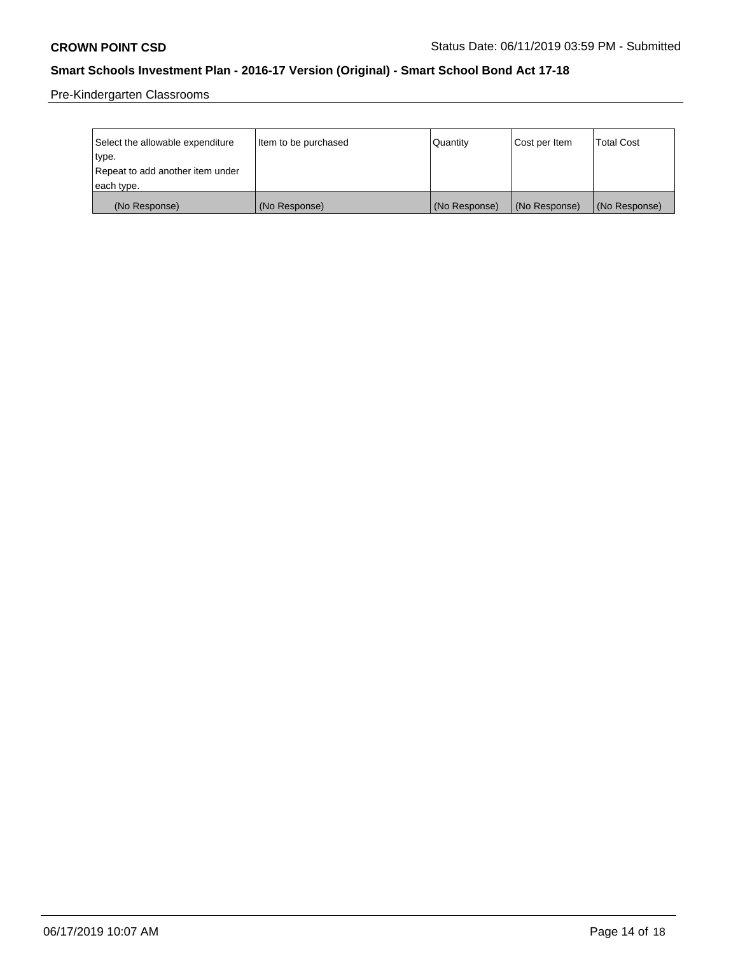Pre-Kindergarten Classrooms

| Select the allowable expenditure | Item to be purchased | Quantity      | Cost per Item | <b>Total Cost</b> |
|----------------------------------|----------------------|---------------|---------------|-------------------|
| type.                            |                      |               |               |                   |
| Repeat to add another item under |                      |               |               |                   |
| each type.                       |                      |               |               |                   |
| (No Response)                    | (No Response)        | (No Response) | (No Response) | (No Response)     |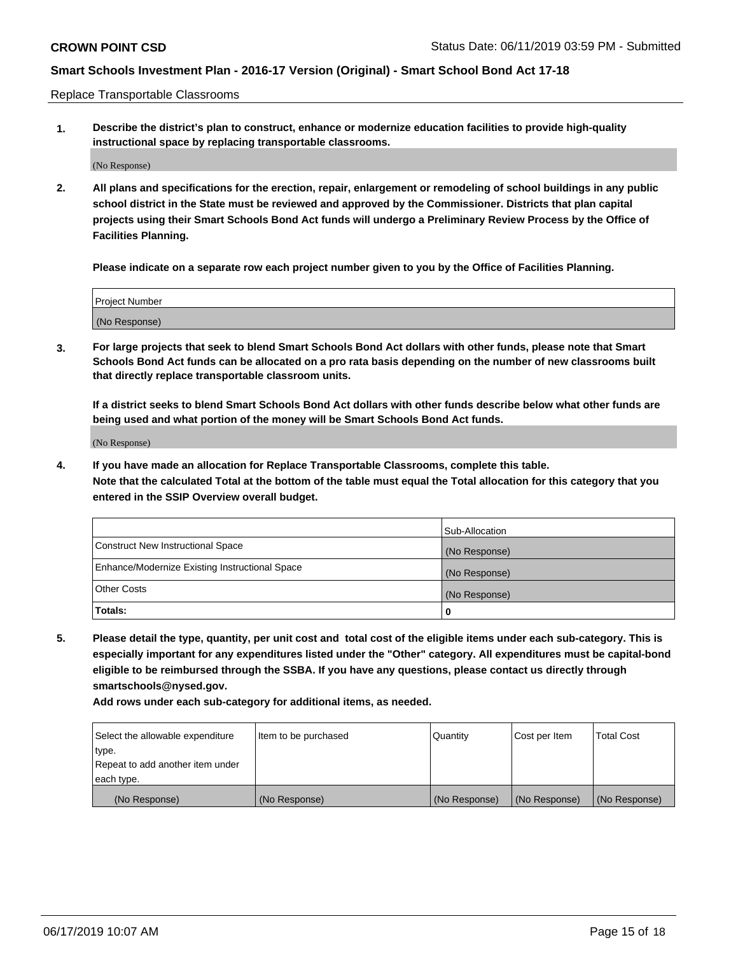Replace Transportable Classrooms

**1. Describe the district's plan to construct, enhance or modernize education facilities to provide high-quality instructional space by replacing transportable classrooms.**

(No Response)

**2. All plans and specifications for the erection, repair, enlargement or remodeling of school buildings in any public school district in the State must be reviewed and approved by the Commissioner. Districts that plan capital projects using their Smart Schools Bond Act funds will undergo a Preliminary Review Process by the Office of Facilities Planning.**

**Please indicate on a separate row each project number given to you by the Office of Facilities Planning.**

| Project Number |               |  |
|----------------|---------------|--|
|                |               |  |
|                |               |  |
|                | (No Response) |  |

**3. For large projects that seek to blend Smart Schools Bond Act dollars with other funds, please note that Smart Schools Bond Act funds can be allocated on a pro rata basis depending on the number of new classrooms built that directly replace transportable classroom units.**

**If a district seeks to blend Smart Schools Bond Act dollars with other funds describe below what other funds are being used and what portion of the money will be Smart Schools Bond Act funds.**

(No Response)

**4. If you have made an allocation for Replace Transportable Classrooms, complete this table. Note that the calculated Total at the bottom of the table must equal the Total allocation for this category that you entered in the SSIP Overview overall budget.**

|                                                | Sub-Allocation |
|------------------------------------------------|----------------|
| Construct New Instructional Space              | (No Response)  |
| Enhance/Modernize Existing Instructional Space | (No Response)  |
| <b>Other Costs</b>                             | (No Response)  |
| Totals:                                        | 0              |

**5. Please detail the type, quantity, per unit cost and total cost of the eligible items under each sub-category. This is especially important for any expenditures listed under the "Other" category. All expenditures must be capital-bond eligible to be reimbursed through the SSBA. If you have any questions, please contact us directly through smartschools@nysed.gov.**

| Select the allowable expenditure | Item to be purchased | l Quantitv    | Cost per Item | <b>Total Cost</b> |
|----------------------------------|----------------------|---------------|---------------|-------------------|
| type.                            |                      |               |               |                   |
| Repeat to add another item under |                      |               |               |                   |
| each type.                       |                      |               |               |                   |
| (No Response)                    | (No Response)        | (No Response) | (No Response) | (No Response)     |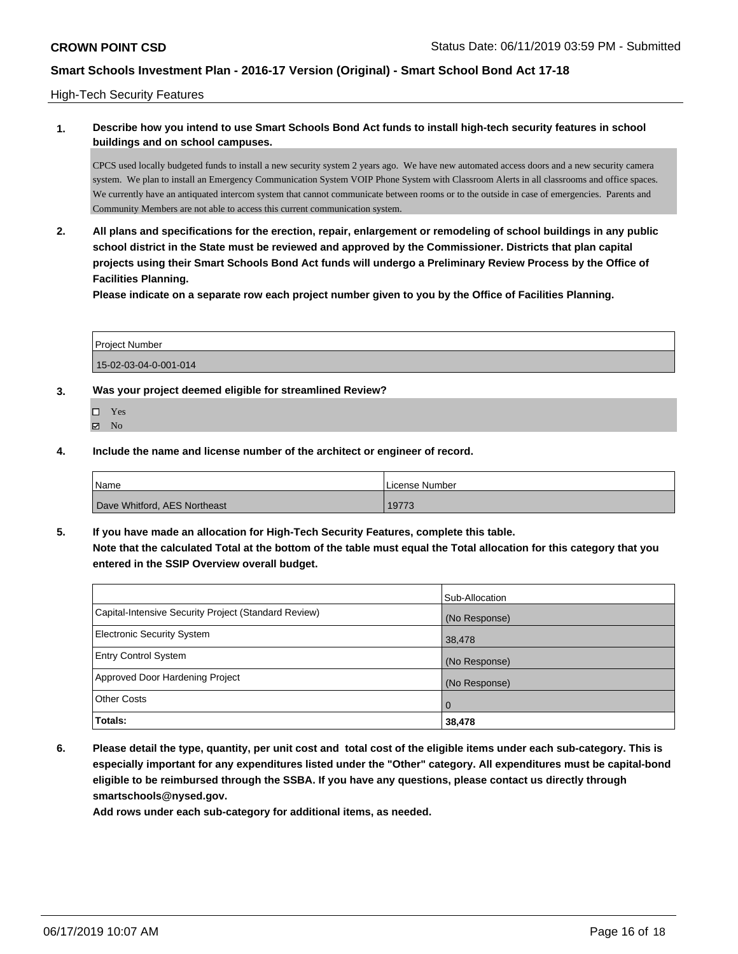#### High-Tech Security Features

### **1. Describe how you intend to use Smart Schools Bond Act funds to install high-tech security features in school buildings and on school campuses.**

CPCS used locally budgeted funds to install a new security system 2 years ago. We have new automated access doors and a new security camera system. We plan to install an Emergency Communication System VOIP Phone System with Classroom Alerts in all classrooms and office spaces. We currently have an antiquated intercom system that cannot communicate between rooms or to the outside in case of emergencies. Parents and Community Members are not able to access this current communication system.

**2. All plans and specifications for the erection, repair, enlargement or remodeling of school buildings in any public school district in the State must be reviewed and approved by the Commissioner. Districts that plan capital projects using their Smart Schools Bond Act funds will undergo a Preliminary Review Process by the Office of Facilities Planning.** 

**Please indicate on a separate row each project number given to you by the Office of Facilities Planning.**

| <b>Project Number</b> |  |
|-----------------------|--|
| 15-02-03-04-0-001-014 |  |

#### **3. Was your project deemed eligible for streamlined Review?**

Yes  $\boxtimes$  No

**4. Include the name and license number of the architect or engineer of record.**

| <b>Name</b>                  | License Number |
|------------------------------|----------------|
| Dave Whitford, AES Northeast | 19773          |

**5. If you have made an allocation for High-Tech Security Features, complete this table. Note that the calculated Total at the bottom of the table must equal the Total allocation for this category that you entered in the SSIP Overview overall budget.**

|                                                      | Sub-Allocation |
|------------------------------------------------------|----------------|
| Capital-Intensive Security Project (Standard Review) | (No Response)  |
| Electronic Security System                           | 38,478         |
| <b>Entry Control System</b>                          | (No Response)  |
| Approved Door Hardening Project                      | (No Response)  |
| <b>Other Costs</b>                                   | $\overline{0}$ |
| Totals:                                              | 38,478         |

**6. Please detail the type, quantity, per unit cost and total cost of the eligible items under each sub-category. This is especially important for any expenditures listed under the "Other" category. All expenditures must be capital-bond eligible to be reimbursed through the SSBA. If you have any questions, please contact us directly through smartschools@nysed.gov.**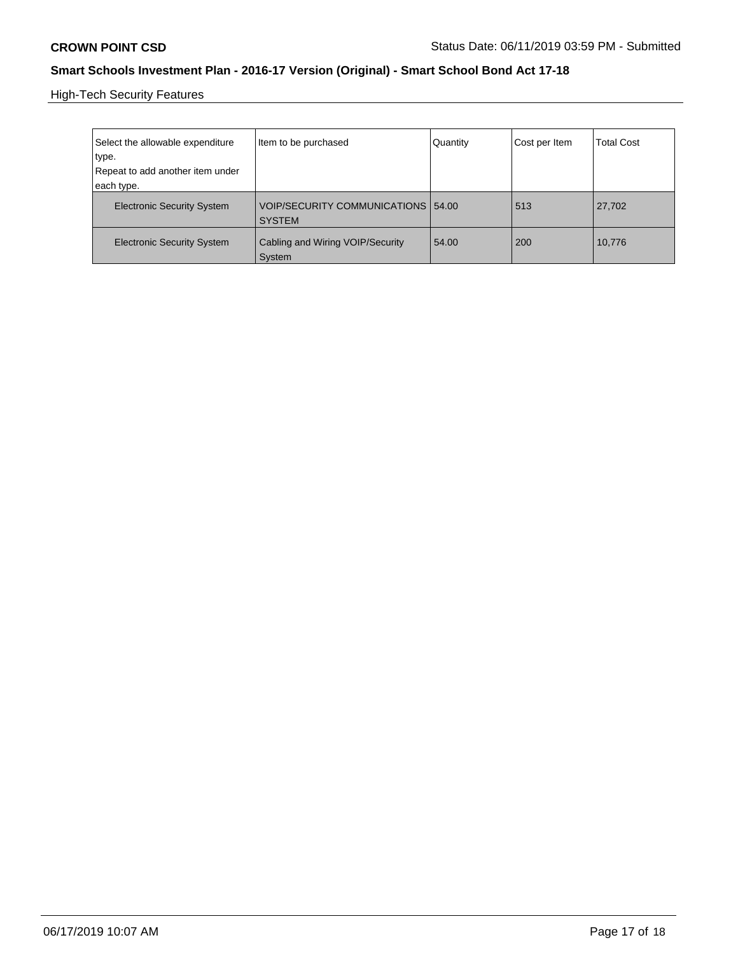High-Tech Security Features

| Select the allowable expenditure<br>type.<br>Repeat to add another item under | Item to be purchased                                | Quantity | Cost per Item | <b>Total Cost</b> |
|-------------------------------------------------------------------------------|-----------------------------------------------------|----------|---------------|-------------------|
| each type.                                                                    |                                                     |          |               |                   |
| <b>Electronic Security System</b>                                             | VOIP/SECURITY COMMUNICATIONS 54.00<br><b>SYSTEM</b> |          | 513           | 27,702            |
| <b>Electronic Security System</b>                                             | Cabling and Wiring VOIP/Security<br>System          | 54.00    | 200           | 10,776            |